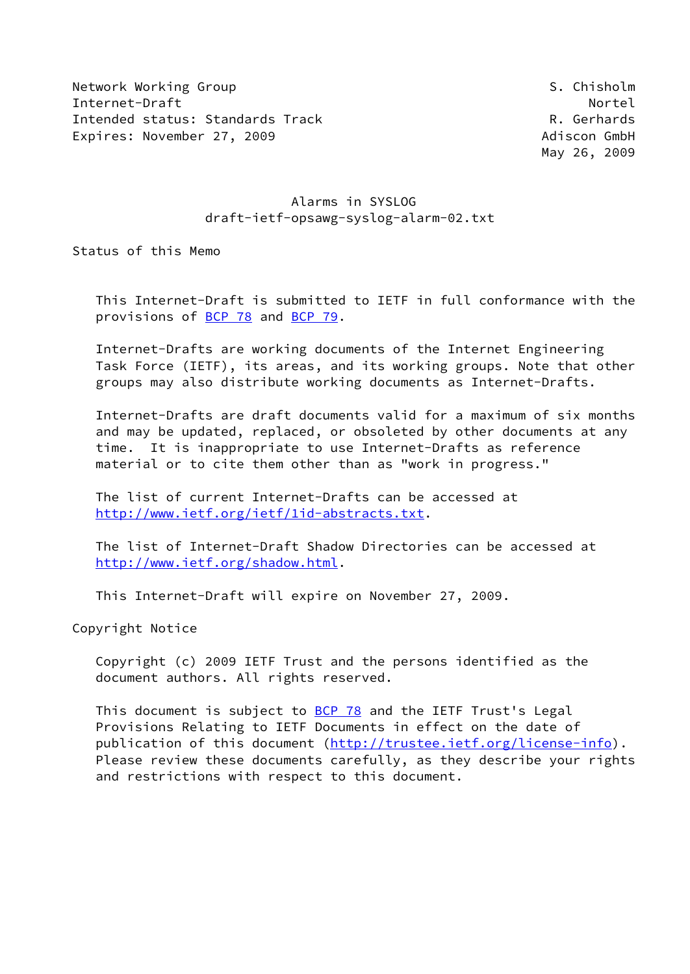Network Working Group States and the States of States of States and States and States of States and States and Internet-Draft Nortel Intended status: Standards Track R. Gerhards Expires: November 27, 2009 **Adiscon GmbH** 

May 26, 2009

# Alarms in SYSLOG draft-ietf-opsawg-syslog-alarm-02.txt

Status of this Memo

 This Internet-Draft is submitted to IETF in full conformance with the provisions of [BCP 78](https://datatracker.ietf.org/doc/pdf/bcp78) and [BCP 79](https://datatracker.ietf.org/doc/pdf/bcp79).

 Internet-Drafts are working documents of the Internet Engineering Task Force (IETF), its areas, and its working groups. Note that other groups may also distribute working documents as Internet-Drafts.

 Internet-Drafts are draft documents valid for a maximum of six months and may be updated, replaced, or obsoleted by other documents at any time. It is inappropriate to use Internet-Drafts as reference material or to cite them other than as "work in progress."

 The list of current Internet-Drafts can be accessed at <http://www.ietf.org/ietf/1id-abstracts.txt>.

 The list of Internet-Draft Shadow Directories can be accessed at <http://www.ietf.org/shadow.html>.

This Internet-Draft will expire on November 27, 2009.

Copyright Notice

 Copyright (c) 2009 IETF Trust and the persons identified as the document authors. All rights reserved.

 This document is subject to [BCP 78](https://datatracker.ietf.org/doc/pdf/bcp78) and the IETF Trust's Legal Provisions Relating to IETF Documents in effect on the date of publication of this document [\(http://trustee.ietf.org/license-info](http://trustee.ietf.org/license-info)). Please review these documents carefully, as they describe your rights and restrictions with respect to this document.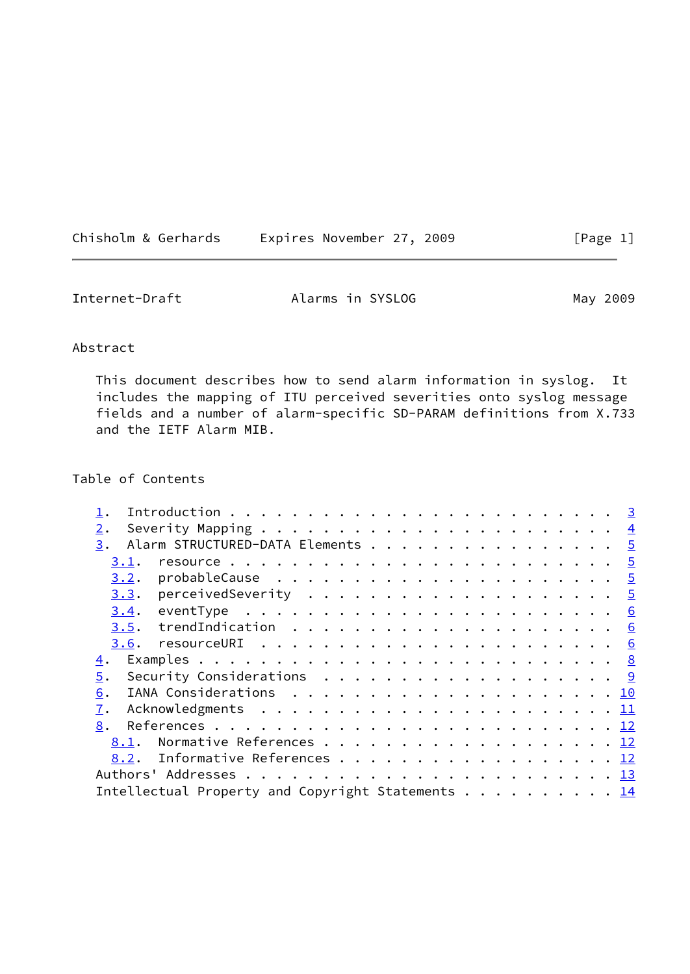| Chisholm & Gerhards | Expires November 27, 2009 | [Page 1] |
|---------------------|---------------------------|----------|
|---------------------|---------------------------|----------|

| Internet-Draft | Alarms in SYSLOG | May 2009 |
|----------------|------------------|----------|
|----------------|------------------|----------|

## Abstract

 This document describes how to send alarm information in syslog. It includes the mapping of ITU perceived severities onto syslog message fields and a number of alarm-specific SD-PARAM definitions from X.733 and the IETF Alarm MIB.

# Table of Contents

| 2.   |                                                                                 |  |  |  |  |  |  |  |  |  |  |  |
|------|---------------------------------------------------------------------------------|--|--|--|--|--|--|--|--|--|--|--|
| 3.   | Alarm STRUCTURED-DATA Elements 5                                                |  |  |  |  |  |  |  |  |  |  |  |
| 3.1. |                                                                                 |  |  |  |  |  |  |  |  |  |  |  |
| 3.2. |                                                                                 |  |  |  |  |  |  |  |  |  |  |  |
|      |                                                                                 |  |  |  |  |  |  |  |  |  |  |  |
| 3.4. | eventType $\ldots \ldots \ldots \ldots \ldots \ldots \ldots \ldots$             |  |  |  |  |  |  |  |  |  |  |  |
| 3.5. |                                                                                 |  |  |  |  |  |  |  |  |  |  |  |
|      |                                                                                 |  |  |  |  |  |  |  |  |  |  |  |
| 4.   |                                                                                 |  |  |  |  |  |  |  |  |  |  |  |
| 5.   | Security Considerations $\ldots \ldots \ldots \ldots \ldots \ldots \frac{9}{2}$ |  |  |  |  |  |  |  |  |  |  |  |
| 6.   |                                                                                 |  |  |  |  |  |  |  |  |  |  |  |
| 7.   |                                                                                 |  |  |  |  |  |  |  |  |  |  |  |
| 8.   |                                                                                 |  |  |  |  |  |  |  |  |  |  |  |
| 8.1. | Normative References 12                                                         |  |  |  |  |  |  |  |  |  |  |  |
|      | 8.2. Informative References 12                                                  |  |  |  |  |  |  |  |  |  |  |  |
|      |                                                                                 |  |  |  |  |  |  |  |  |  |  |  |
|      | Intellectual Property and Copyright Statements 14                               |  |  |  |  |  |  |  |  |  |  |  |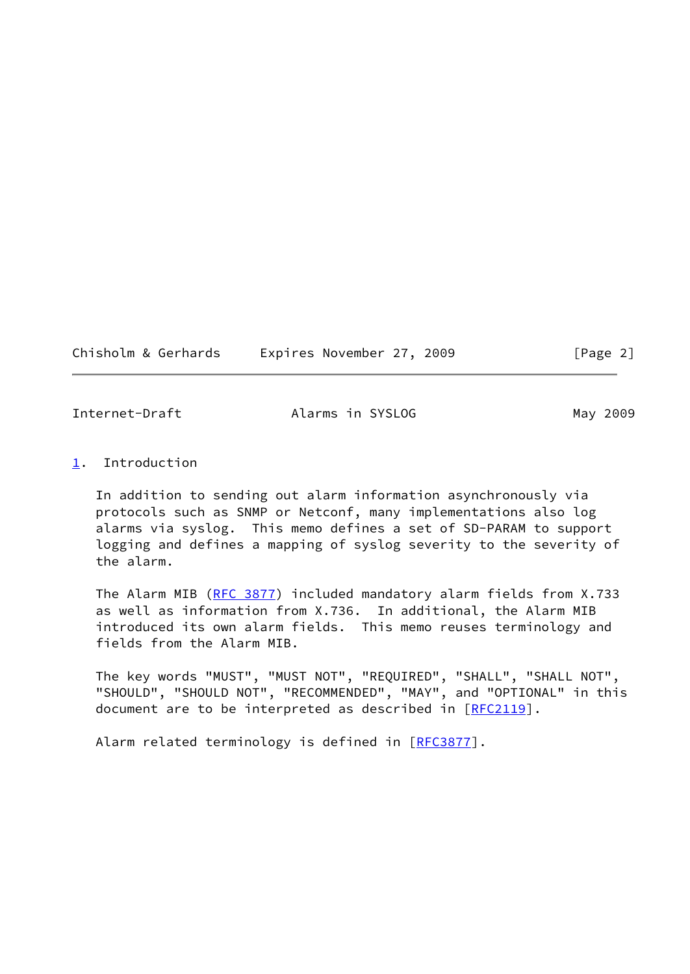$[Page 2]$ 

<span id="page-2-1"></span>Internet-Draft **Alarms in SYSLOG** May 2009

<span id="page-2-0"></span>[1](#page-2-0). Introduction

 In addition to sending out alarm information asynchronously via protocols such as SNMP or Netconf, many implementations also log alarms via syslog. This memo defines a set of SD-PARAM to support logging and defines a mapping of syslog severity to the severity of the alarm.

 The Alarm MIB ([RFC 3877\)](https://datatracker.ietf.org/doc/pdf/rfc3877) included mandatory alarm fields from X.733 as well as information from X.736. In additional, the Alarm MIB introduced its own alarm fields. This memo reuses terminology and fields from the Alarm MIB.

 The key words "MUST", "MUST NOT", "REQUIRED", "SHALL", "SHALL NOT", "SHOULD", "SHOULD NOT", "RECOMMENDED", "MAY", and "OPTIONAL" in this document are to be interpreted as described in [\[RFC2119](https://datatracker.ietf.org/doc/pdf/rfc2119)].

Alarm related terminology is defined in [\[RFC3877](https://datatracker.ietf.org/doc/pdf/rfc3877)].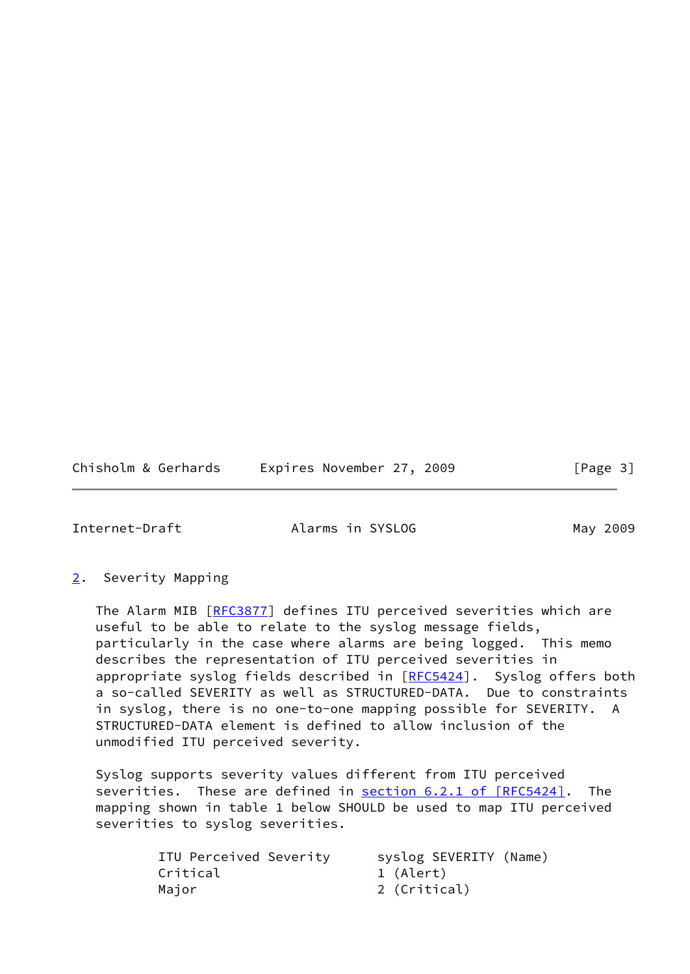Chisholm & Gerhards Expires November 27, 2009 [Page 3]

<span id="page-3-1"></span>

Internet-Draft Alarms in SYSLOG May 2009

#### <span id="page-3-0"></span>[2](#page-3-0). Severity Mapping

The Alarm MIB [[RFC3877](https://datatracker.ietf.org/doc/pdf/rfc3877)] defines ITU perceived severities which are useful to be able to relate to the syslog message fields, particularly in the case where alarms are being logged. This memo describes the representation of ITU perceived severities in appropriate syslog fields described in [\[RFC5424](https://datatracker.ietf.org/doc/pdf/rfc5424)]. Syslog offers both a so-called SEVERITY as well as STRUCTURED-DATA. Due to constraints in syslog, there is no one-to-one mapping possible for SEVERITY. A STRUCTURED-DATA element is defined to allow inclusion of the unmodified ITU perceived severity.

 Syslog supports severity values different from ITU perceived severities. These are defined in section [6.2.1 of \[RFC5424\].](https://datatracker.ietf.org/doc/pdf/rfc5424#section-6.2.1) The mapping shown in table 1 below SHOULD be used to map ITU perceived severities to syslog severities.

| ITU Perceived Severity |              | syslog SEVERITY (Name) |  |
|------------------------|--------------|------------------------|--|
| Critical               | 1 (Alert)    |                        |  |
| Maior                  | 2 (Critical) |                        |  |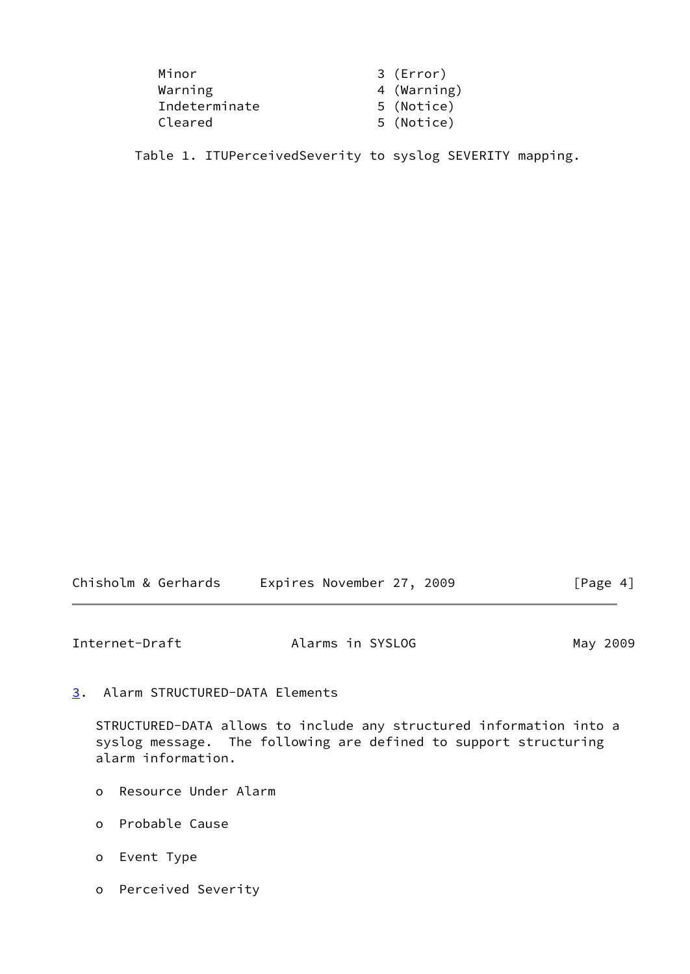| Minor         | 3 (Error)   |
|---------------|-------------|
| Warning       | 4 (Warning) |
| Indeterminate | 5 (Notice)  |
| Cleared       | 5 (Notice)  |

Table 1. ITUPerceivedSeverity to syslog SEVERITY mapping.

| Chisholm & Gerhards | Expires November 27, 2009 | [Page 4] |
|---------------------|---------------------------|----------|
|---------------------|---------------------------|----------|

<span id="page-4-1"></span>Internet-Draft **Alarms in SYSLOG** May 2009

<span id="page-4-0"></span>[3](#page-4-0). Alarm STRUCTURED-DATA Elements

 STRUCTURED-DATA allows to include any structured information into a syslog message. The following are defined to support structuring alarm information.

- o Resource Under Alarm
- o Probable Cause
- o Event Type
- o Perceived Severity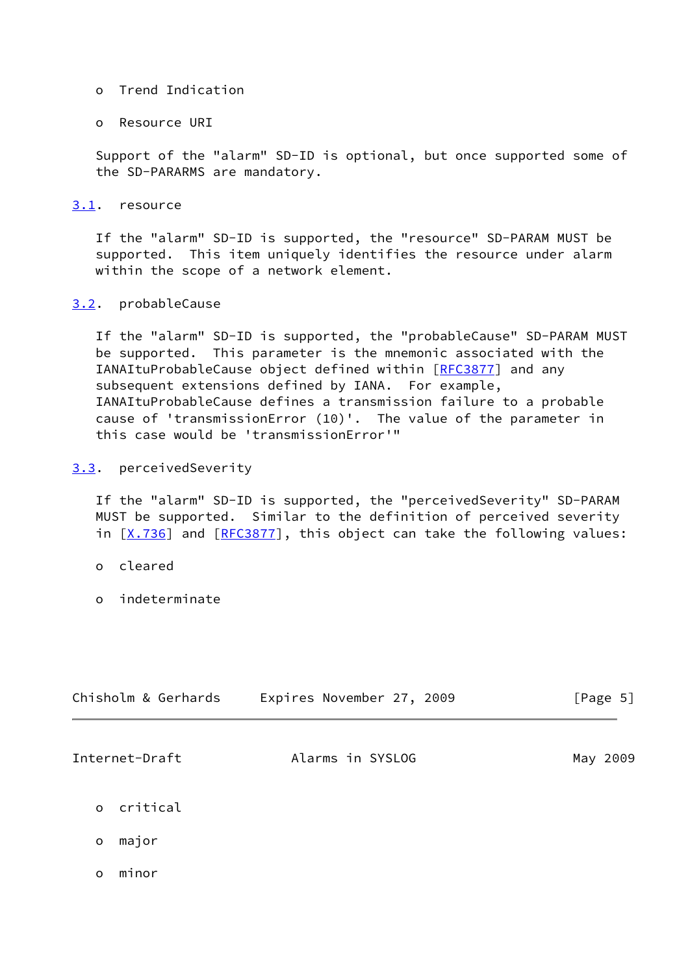- o Trend Indication
- o Resource URI

 Support of the "alarm" SD-ID is optional, but once supported some of the SD-PARARMS are mandatory.

<span id="page-5-0"></span>[3.1](#page-5-0). resource

 If the "alarm" SD-ID is supported, the "resource" SD-PARAM MUST be supported. This item uniquely identifies the resource under alarm within the scope of a network element.

#### <span id="page-5-1"></span>[3.2](#page-5-1). probableCause

 If the "alarm" SD-ID is supported, the "probableCause" SD-PARAM MUST be supported. This parameter is the mnemonic associated with the IANAItuProbableCause object defined within [[RFC3877\]](https://datatracker.ietf.org/doc/pdf/rfc3877) and any subsequent extensions defined by IANA. For example, IANAItuProbableCause defines a transmission failure to a probable cause of 'transmissionError (10)'. The value of the parameter in this case would be 'transmissionError'"

#### <span id="page-5-2"></span>[3.3](#page-5-2). perceivedSeverity

 If the "alarm" SD-ID is supported, the "perceivedSeverity" SD-PARAM MUST be supported. Similar to the definition of perceived severity in  $[X.736]$  $[X.736]$  and  $[REC3877]$ , this object can take the following values:

- o cleared
- o indeterminate

<span id="page-5-3"></span>

| Chisholm & Gerhards | Expires November 27, 2009 | [Page 5] |  |  |
|---------------------|---------------------------|----------|--|--|
| Internet-Draft      | Alarms in SYSLOG          | May 2009 |  |  |
| o critical          |                           |          |  |  |
| major<br>$\circ$    |                           |          |  |  |
| minor<br>O          |                           |          |  |  |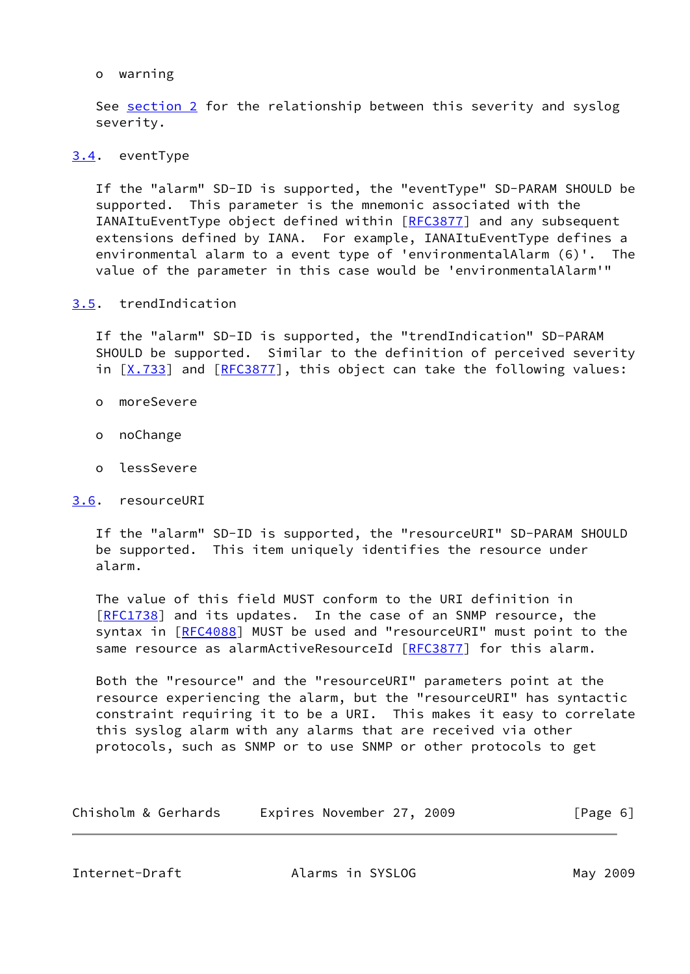#### o warning

 See [section 2](#page-3-0) for the relationship between this severity and syslog severity.

### <span id="page-6-0"></span>[3.4](#page-6-0). eventType

 If the "alarm" SD-ID is supported, the "eventType" SD-PARAM SHOULD be supported. This parameter is the mnemonic associated with the IANAItuEventType object defined within [\[RFC3877](https://datatracker.ietf.org/doc/pdf/rfc3877)] and any subsequent extensions defined by IANA. For example, IANAItuEventType defines a environmental alarm to a event type of 'environmentalAlarm (6)'. The value of the parameter in this case would be 'environmentalAlarm'"

# <span id="page-6-1"></span>[3.5](#page-6-1). trendIndication

 If the "alarm" SD-ID is supported, the "trendIndication" SD-PARAM SHOULD be supported. Similar to the definition of perceived severity in  $[X.733]$  $[X.733]$  and  $[REC3877]$ , this object can take the following values:

- o moreSevere
- o noChange
- o lessSevere

#### <span id="page-6-2"></span>[3.6](#page-6-2). resourceURI

 If the "alarm" SD-ID is supported, the "resourceURI" SD-PARAM SHOULD be supported. This item uniquely identifies the resource under alarm.

 The value of this field MUST conform to the URI definition in [\[RFC1738](https://datatracker.ietf.org/doc/pdf/rfc1738)] and its updates. In the case of an SNMP resource, the syntax in [[RFC4088](https://datatracker.ietf.org/doc/pdf/rfc4088)] MUST be used and "resourceURI" must point to the same resource as alarmActiveResourceId [\[RFC3877](https://datatracker.ietf.org/doc/pdf/rfc3877)] for this alarm.

 Both the "resource" and the "resourceURI" parameters point at the resource experiencing the alarm, but the "resourceURI" has syntactic constraint requiring it to be a URI. This makes it easy to correlate this syslog alarm with any alarms that are received via other protocols, such as SNMP or to use SNMP or other protocols to get

| Chisholm & Gerhards | Expires November 27, 2009 | [Page 6] |
|---------------------|---------------------------|----------|
|---------------------|---------------------------|----------|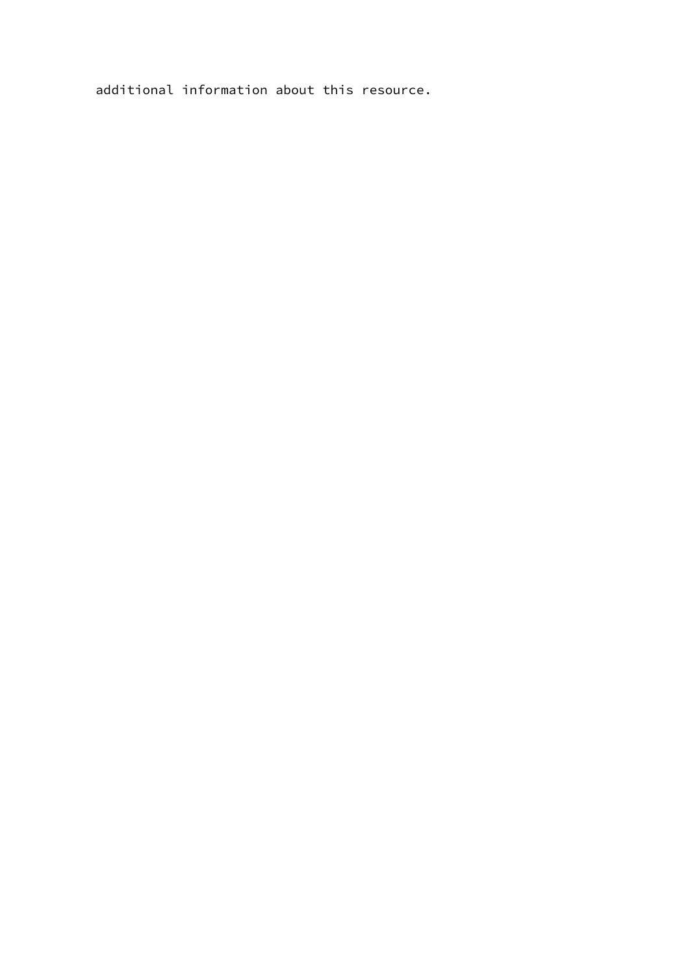additional information about this resource.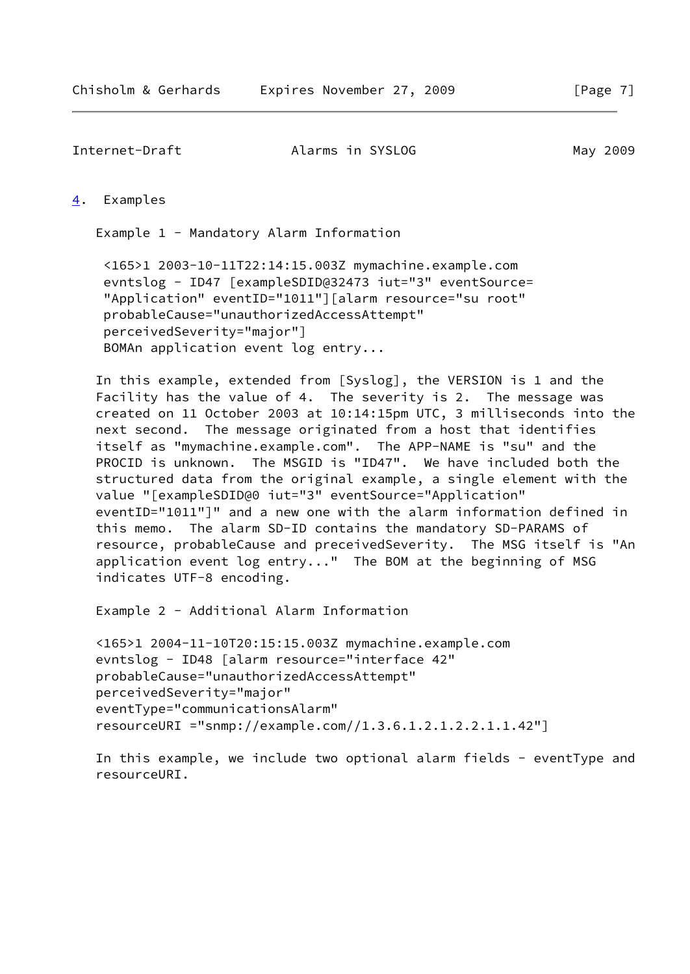<span id="page-8-0"></span>[4](#page-8-0). Examples

Example 1 - Mandatory Alarm Information

 <165>1 2003-10-11T22:14:15.003Z mymachine.example.com evntslog - ID47 [exampleSDID@32473 iut="3" eventSource= "Application" eventID="1011"][alarm resource="su root" probableCause="unauthorizedAccessAttempt" perceivedSeverity="major"] BOMAn application event log entry...

 In this example, extended from [Syslog], the VERSION is 1 and the Facility has the value of 4. The severity is 2. The message was created on 11 October 2003 at 10:14:15pm UTC, 3 milliseconds into the next second. The message originated from a host that identifies itself as "mymachine.example.com". The APP-NAME is "su" and the PROCID is unknown. The MSGID is "ID47". We have included both the structured data from the original example, a single element with the value "[exampleSDID@0 iut="3" eventSource="Application" eventID="1011"]" and a new one with the alarm information defined in this memo. The alarm SD-ID contains the mandatory SD-PARAMS of resource, probableCause and preceivedSeverity. The MSG itself is "An application event log entry..." The BOM at the beginning of MSG indicates UTF-8 encoding.

Example 2 - Additional Alarm Information

```
 <165>1 2004-11-10T20:15:15.003Z mymachine.example.com
evntslog - ID48 [alarm resource="interface 42"
probableCause="unauthorizedAccessAttempt"
perceivedSeverity="major"
eventType="communicationsAlarm"
resourceURI ="snmp://example.com//1.3.6.1.2.1.2.2.1.1.42"]
```
 In this example, we include two optional alarm fields - eventType and resourceURI.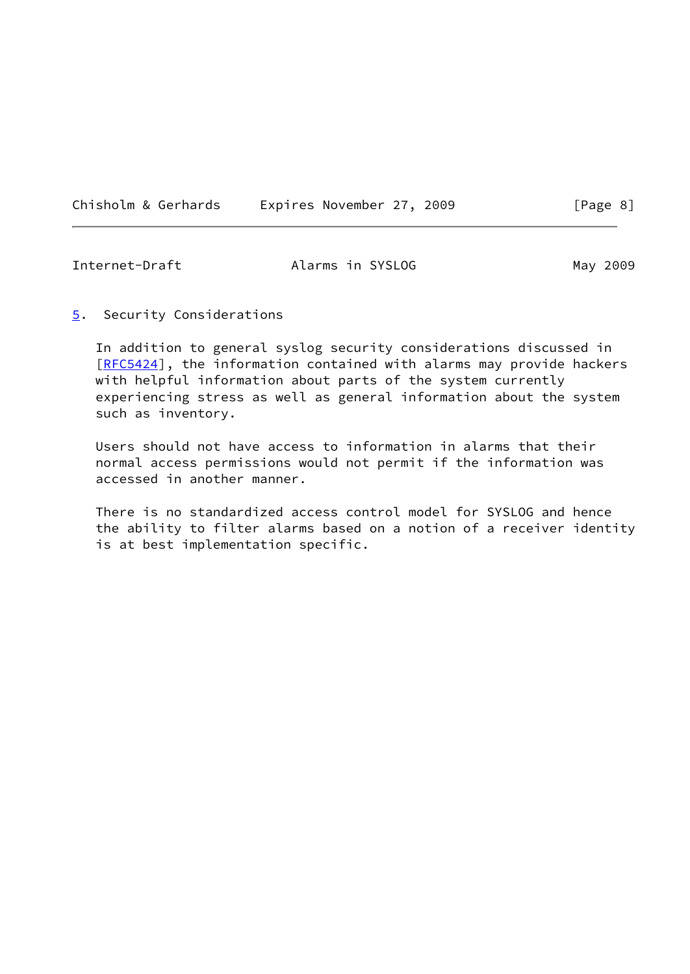<span id="page-9-1"></span>

| Chisholm & Gerhards | Expires November 27, 2009 |
|---------------------|---------------------------|
|---------------------|---------------------------|

<span id="page-9-0"></span>[5](#page-9-0). Security Considerations

 In addition to general syslog security considerations discussed in [\[RFC5424](https://datatracker.ietf.org/doc/pdf/rfc5424)], the information contained with alarms may provide hackers with helpful information about parts of the system currently experiencing stress as well as general information about the system such as inventory.

 Users should not have access to information in alarms that their normal access permissions would not permit if the information was accessed in another manner.

 There is no standardized access control model for SYSLOG and hence the ability to filter alarms based on a notion of a receiver identity is at best implementation specific.

 $[Page 8]$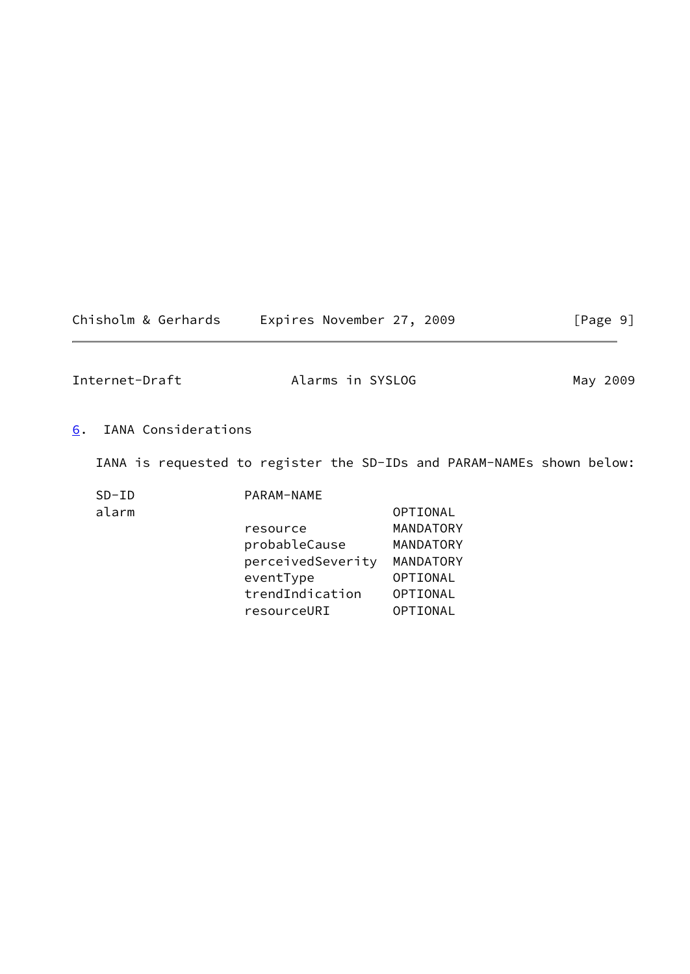Chisholm & Gerhards Expires November 27, 2009 [Page 9]

<span id="page-10-1"></span>Internet-Draft **Alarms in SYSLOG** May 2009

# <span id="page-10-0"></span>[6](#page-10-0). IANA Considerations

IANA is requested to register the SD-IDs and PARAM-NAMEs shown below:

| $SD-ID$ | PARAM-NAME        |           |
|---------|-------------------|-----------|
| alarm   |                   | OPTIONAL  |
|         | resource          | MANDATORY |
|         | probableCause     | MANDATORY |
|         | perceivedSeverity | MANDATORY |
|         | eventType         | OPTIONAL  |
|         | trendIndication   | OPTIONAL  |
|         | resourceURI       | OPTIONAL  |
|         |                   |           |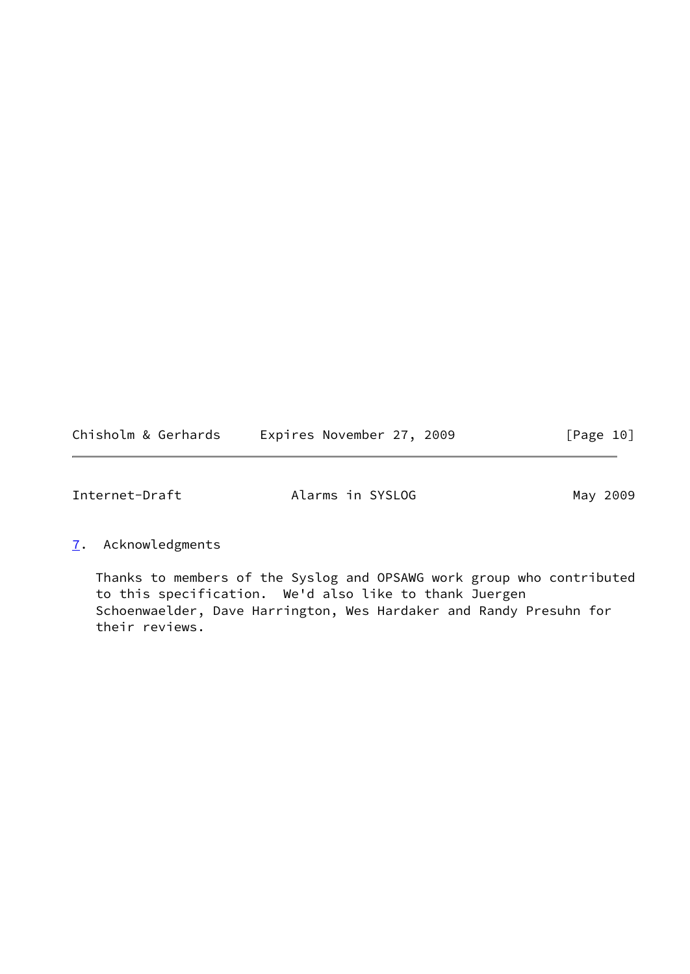<span id="page-11-1"></span>

| Chisholm & Gerhards | Expires November 27, 2009 | [Page 10] |
|---------------------|---------------------------|-----------|
|---------------------|---------------------------|-----------|

<span id="page-11-0"></span>[7](#page-11-0). Acknowledgments

 Thanks to members of the Syslog and OPSAWG work group who contributed to this specification. We'd also like to thank Juergen Schoenwaelder, Dave Harrington, Wes Hardaker and Randy Presuhn for their reviews.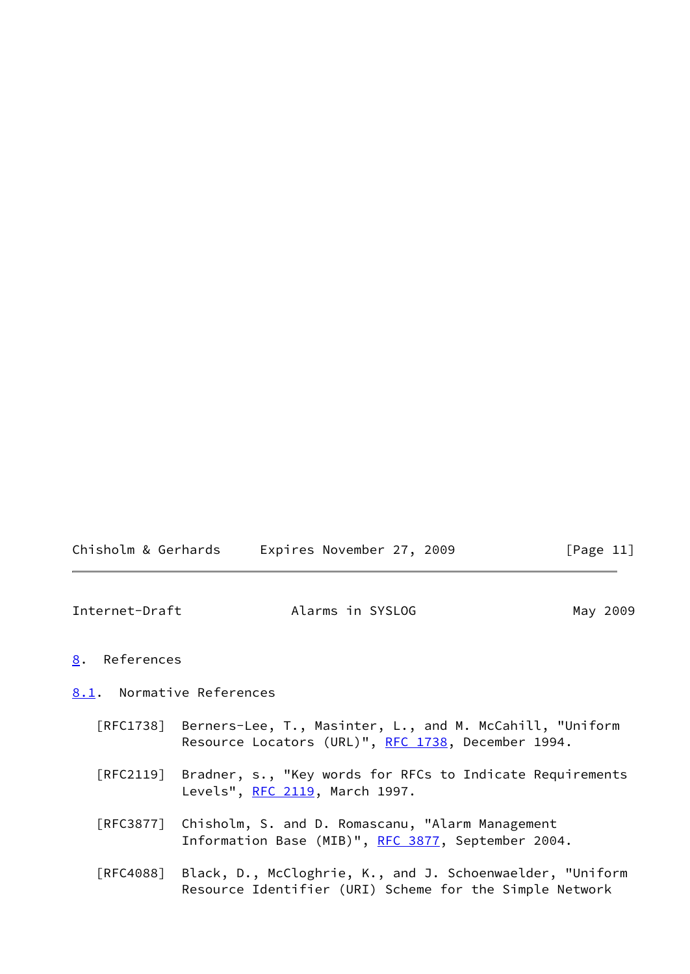<span id="page-12-1"></span>

|  | Chisholm & Gerhards | Expires November 27, 2009 |  | [Page 11] |
|--|---------------------|---------------------------|--|-----------|
|--|---------------------|---------------------------|--|-----------|

#### <span id="page-12-0"></span>[8](#page-12-0). References

<span id="page-12-2"></span>[8.1](#page-12-2). Normative References

- [RFC1738] Berners-Lee, T., Masinter, L., and M. McCahill, "Uniform Resource Locators (URL)", [RFC 1738](https://datatracker.ietf.org/doc/pdf/rfc1738), December 1994.
- [RFC2119] Bradner, s., "Key words for RFCs to Indicate Requirements Levels", [RFC 2119,](https://datatracker.ietf.org/doc/pdf/rfc2119) March 1997.
- [RFC3877] Chisholm, S. and D. Romascanu, "Alarm Management Information Base (MIB)", [RFC 3877,](https://datatracker.ietf.org/doc/pdf/rfc3877) September 2004.
- [RFC4088] Black, D., McCloghrie, K., and J. Schoenwaelder, "Uniform Resource Identifier (URI) Scheme for the Simple Network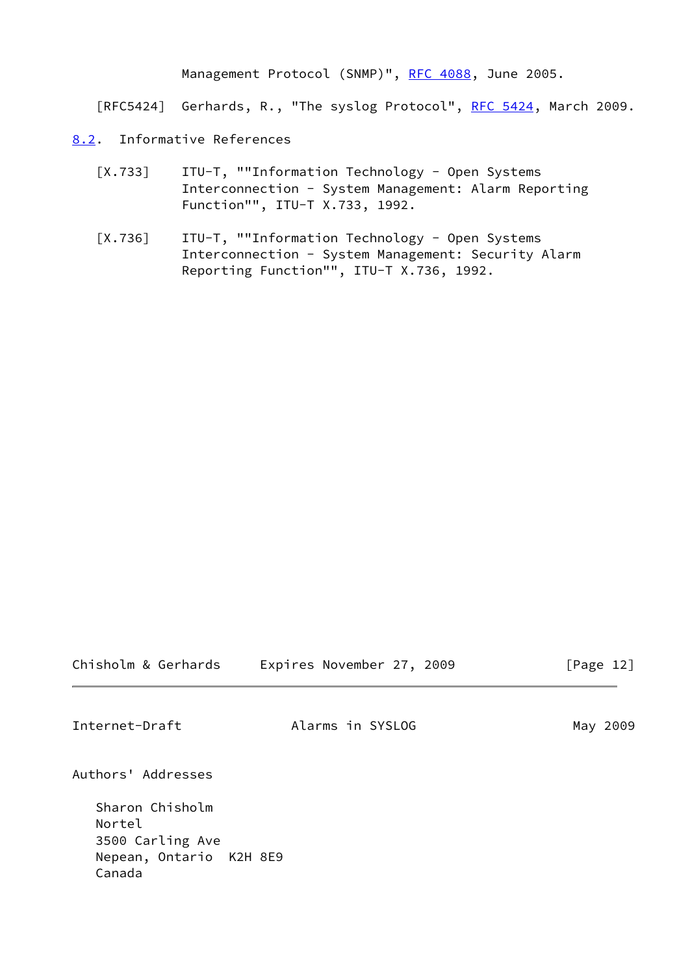Management Protocol (SNMP)", [RFC 4088](https://datatracker.ietf.org/doc/pdf/rfc4088), June 2005.

[RFC5424] Gerhards, R., "The syslog Protocol", [RFC 5424](https://datatracker.ietf.org/doc/pdf/rfc5424), March 2009.

- <span id="page-13-3"></span><span id="page-13-2"></span><span id="page-13-0"></span>[8.2](#page-13-0). Informative References
	- [X.733] ITU-T, ""Information Technology Open Systems Interconnection - System Management: Alarm Reporting Function"", ITU-T X.733, 1992.
	- [X.736] ITU-T, ""Information Technology Open Systems Interconnection - System Management: Security Alarm Reporting Function"", ITU-T X.736, 1992.

<span id="page-13-1"></span>

| Chisholm & Gerhards                                             | Expires November 27, 2009 | [Page 12] |
|-----------------------------------------------------------------|---------------------------|-----------|
| Internet-Draft                                                  | Alarms in SYSLOG          | May 2009  |
| Authors' Addresses<br>Sharon Chisholm                           |                           |           |
| Nortel<br>3500 Carling Ave<br>Nepean, Ontario K2H 8E9<br>Canada |                           |           |